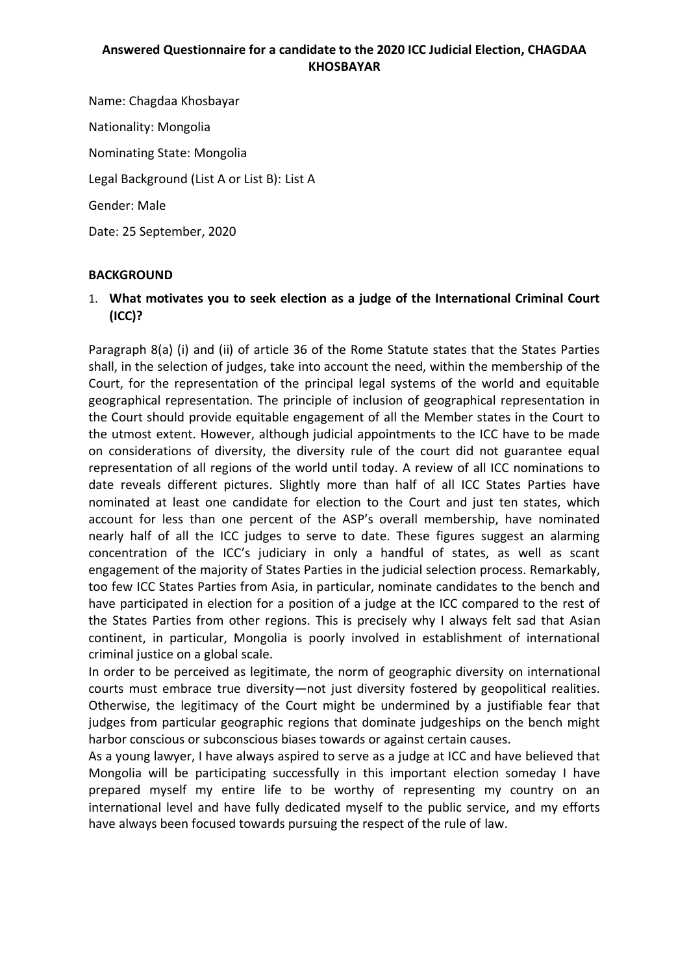### **Answered Questionnaire for a candidate to the 2020 ICC Judicial Election, CHAGDAA KHOSBAYAR**

Name: Chagdaa Khosbayar Nationality: Mongolia Nominating State: Mongolia Legal Background (List A or List B): List A Gender: Male Date: 25 September, 2020

#### **BACKGROUND**

1. **What motivates you to seek election as a judge of the International Criminal Court (ICC)?** 

Paragraph 8(a) (i) and (ii) of article 36 of the Rome Statute states that the States Parties shall, in the selection of judges, take into account the need, within the membership of the Court, for the representation of the principal legal systems of the world and equitable geographical representation. The principle of inclusion of geographical representation in the Court should provide equitable engagement of all the Member states in the Court to the utmost extent. However, although judicial appointments to the ICC have to be made on considerations of diversity, the diversity rule of the court did not guarantee equal representation of all regions of the world until today. A review of all ICC nominations to date reveals different pictures. Slightly more than half of all ICC States Parties have nominated at least one candidate for election to the Court and just ten states, which account for less than one percent of the ASP's overall membership, have nominated nearly half of all the ICC judges to serve to date. These figures suggest an alarming concentration of the ICC's judiciary in only a handful of states, as well as scant engagement of the majority of States Parties in the judicial selection process. Remarkably, too few ICC States Parties from Asia, in particular, nominate candidates to the bench and have participated in election for a position of a judge at the ICC compared to the rest of the States Parties from other regions. This is precisely why I always felt sad that Asian continent, in particular, Mongolia is poorly involved in establishment of international criminal justice on a global scale.

In order to be perceived as legitimate, the norm of geographic diversity on international courts must embrace true diversity—not just diversity fostered by geopolitical realities. Otherwise, the legitimacy of the Court might be undermined by a justifiable fear that judges from particular geographic regions that dominate judgeships on the bench might harbor conscious or subconscious biases towards or against certain causes.

As a young lawyer, I have always aspired to serve as a judge at ICC and have believed that Mongolia will be participating successfully in this important election someday I have prepared myself my entire life to be worthy of representing my country on an international level and have fully dedicated myself to the public service, and my efforts have always been focused towards pursuing the respect of the rule of law.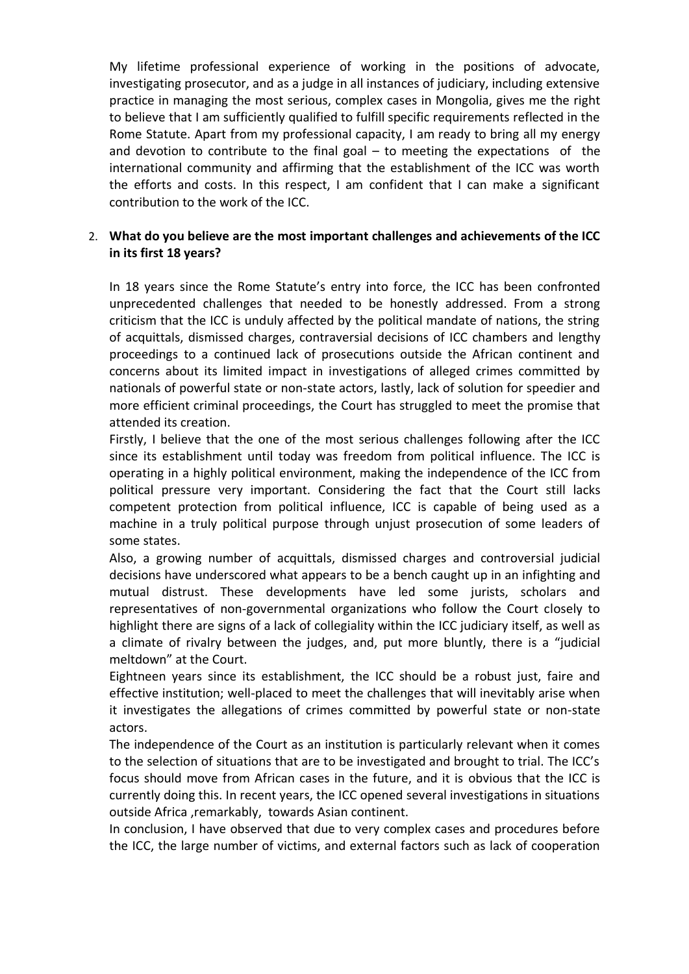My lifetime professional experience of working in the positions of advocate, investigating prosecutor, and as a judge in all instances of judiciary, including extensive practice in managing the most serious, complex cases in Mongolia, gives me the right to believe that I am sufficiently qualified to fulfill specific requirements reflected in the Rome Statute. Apart from my professional capacity, I am ready to bring all my energy and devotion to contribute to the final goal – to meeting the expectations of the international community and affirming that the establishment of the ICC was worth the efforts and costs. In this respect, I am confident that I can make a significant contribution to the work of the ICC.

### 2. **What do you believe are the most important challenges and achievements of the ICC in its first 18 years?**

In 18 years since the Rome Statute's entry into force, the ICC has been confronted unprecedented challenges that needed to be honestly addressed. From a strong criticism that the ICC is unduly affected by the political mandate of nations, the string of acquittals, dismissed charges, contraversial decisions of ICC chambers and lengthy proceedings to a continued lack of prosecutions outside the African continent and concerns about its limited impact in investigations of alleged crimes committed by nationals of powerful state or non-state actors, lastly, lack of solution for speedier and more efficient criminal proceedings, the Court has struggled to meet the promise that attended its creation.

Firstly, I believe that the one of the most serious challenges following after the ICC since its establishment until today was freedom from political influence. The ICC is operating in a highly political environment, making the independence of the ICC from political pressure very important. Considering the fact that the Court still lacks competent protection from political influence, ICC is capable of being used as a machine in a truly political purpose through unjust prosecution of some leaders of some states.

Also, a growing number of acquittals, dismissed charges and controversial judicial decisions have underscored what appears to be a bench caught up in an infighting and mutual distrust. These developments have led some jurists, scholars and representatives of non-governmental organizations who follow the Court closely to highlight there are signs of a lack of collegiality within the ICC judiciary itself, as well as a climate of rivalry between the judges, and, put more bluntly, there is a "judicial meltdown" at the Court.

Eightneen years since its establishment, the ICC should be a robust just, faire and effective institution; well-placed to meet the challenges that will inevitably arise when it investigates the allegations of crimes committed by powerful state or non-state actors.

The independence of the Court as an institution is particularly relevant when it comes to the selection of situations that are to be investigated and brought to trial. The ICC's focus should move from African cases in the future, and it is obvious that the ICC is currently doing this. In recent years, the ICC opened several investigations in situations outside Africa ,remarkably, towards Asian continent.

In conclusion, I have observed that due to very complex cases and procedures before the ICC, the large number of victims, and external factors such as lack of cooperation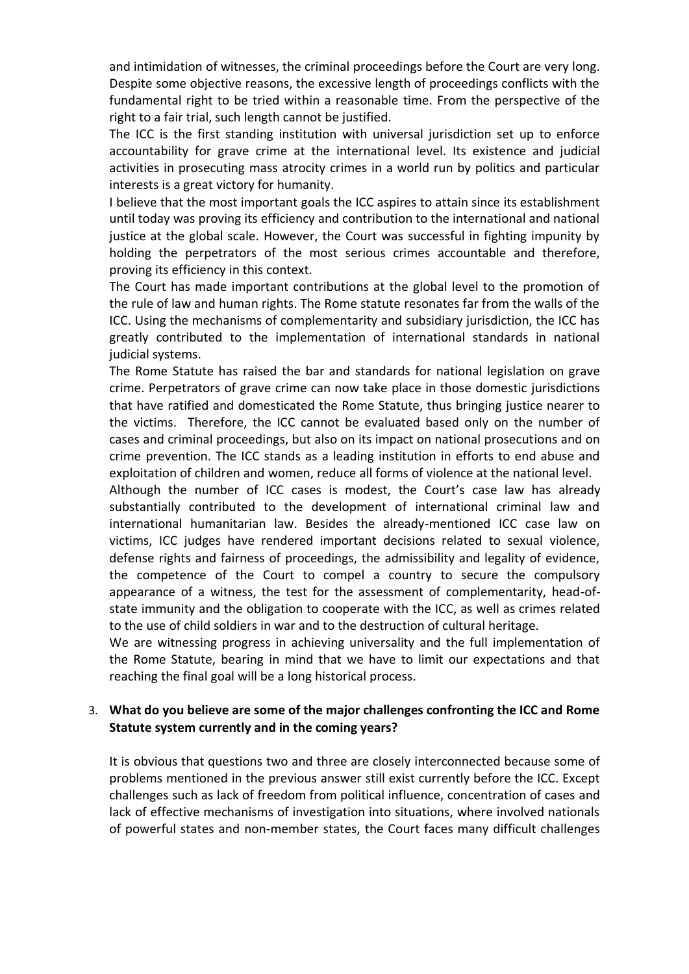and intimidation of witnesses, the criminal proceedings before the Court are very long. Despite some objective reasons, the excessive length of proceedings conflicts with the fundamental right to be tried within a reasonable time. From the perspective of the right to a fair trial, such length cannot be justified.

The ICC is the first standing institution with universal jurisdiction set up to enforce accountability for grave crime at the international level. Its existence and judicial activities in prosecuting mass atrocity crimes in a world run by politics and particular interests is a great victory for humanity.

I believe that the most important goals the ICC aspires to attain since its establishment until today was proving its efficiency and contribution to the international and national justice at the global scale. However, the Court was successful in fighting impunity by holding the perpetrators of the most serious crimes accountable and therefore, proving its efficiency in this context.

The Court has made important contributions at the global level to the promotion of the rule of law and human rights. The Rome statute resonates far from the walls of the ICC. Using the mechanisms of complementarity and subsidiary jurisdiction, the ICC has greatly contributed to the implementation of international standards in national judicial systems.

The Rome Statute has raised the bar and standards for national legislation on grave crime. Perpetrators of grave crime can now take place in those domestic jurisdictions that have ratified and domesticated the Rome Statute, thus bringing justice nearer to the victims. Therefore, the ICC cannot be evaluated based only on the number of cases and criminal proceedings, but also on its impact on national prosecutions and on crime prevention. The ICC stands as a leading institution in efforts to end abuse and exploitation of children and women, reduce all forms of violence at the national level.

Although the number of ICC cases is modest, the Court's case law has already substantially contributed to the development of international criminal law and international humanitarian law. Besides the already-mentioned ICC case law on victims, ICC judges have rendered important decisions related to sexual violence, defense rights and fairness of proceedings, the admissibility and legality of evidence, the competence of the Court to compel a country to secure the compulsory appearance of a witness, the test for the assessment of complementarity, head-ofstate immunity and the obligation to cooperate with the ICC, as well as crimes related to the use of child soldiers in war and to the destruction of cultural heritage.

We are witnessing progress in achieving universality and the full implementation of the Rome Statute, bearing in mind that we have to limit our expectations and that reaching the final goal will be a long historical process.

#### 3. **What do you believe are some of the major challenges confronting the ICC and Rome Statute system currently and in the coming years?**

It is obvious that questions two and three are closely interconnected because some of problems mentioned in the previous answer still exist currently before the ICC. Except challenges such as lack of freedom from political influence, concentration of cases and lack of effective mechanisms of investigation into situations, where involved nationals of powerful states and non-member states, the Court faces many difficult challenges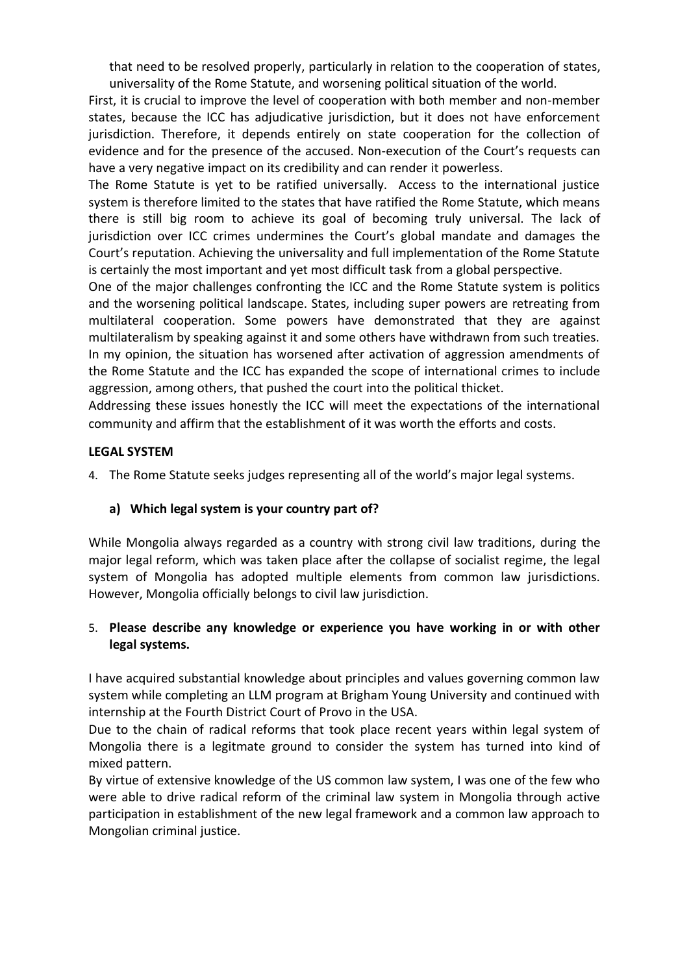that need to be resolved properly, particularly in relation to the cooperation of states, universality of the Rome Statute, and worsening political situation of the world.

First, it is crucial to improve the level of cooperation with both member and non-member states, because the ICC has adjudicative jurisdiction, but it does not have enforcement jurisdiction. Therefore, it depends entirely on state cooperation for the collection of evidence and for the presence of the accused. Non-execution of the Court's requests can have a very negative impact on its credibility and can render it powerless.

The Rome Statute is yet to be ratified universally. Access to the international justice system is therefore limited to the states that have ratified the Rome Statute, which means there is still big room to achieve its goal of becoming truly universal. The lack of jurisdiction over ICC crimes undermines the Court's global mandate and damages the Court's reputation. Achieving the universality and full implementation of the Rome Statute is certainly the most important and yet most difficult task from a global perspective.

One of the major challenges confronting the ICC and the Rome Statute system is politics and the worsening political landscape. States, including super powers are retreating from multilateral cooperation. Some powers have demonstrated that they are against multilateralism by speaking against it and some others have withdrawn from such treaties. In my opinion, the situation has worsened after activation of aggression amendments of the Rome Statute and the ICC has expanded the scope of international crimes to include aggression, among others, that pushed the court into the political thicket.

Addressing these issues honestly the ICC will meet the expectations of the international community and affirm that the establishment of it was worth the efforts and costs.

#### **LEGAL SYSTEM**

4. The Rome Statute seeks judges representing all of the world's major legal systems.

### **a) Which legal system is your country part of?**

While Mongolia always regarded as a country with strong civil law traditions, during the major legal reform, which was taken place after the collapse of socialist regime, the legal system of Mongolia has adopted multiple elements from common law jurisdictions. However, Mongolia officially belongs to civil law jurisdiction.

#### 5. **Please describe any knowledge or experience you have working in or with other legal systems.**

I have acquired substantial knowledge about principles and values governing common law system while completing an LLM program at Brigham Young University and continued with internship at the Fourth District Court of Provo in the USA.

Due to the chain of radical reforms that took place recent years within legal system of Mongolia there is a legitmate ground to consider the system has turned into kind of mixed pattern.

By virtue of extensive knowledge of the US common law system, I was one of the few who were able to drive radical reform of the criminal law system in Mongolia through active participation in establishment of the new legal framework and a common law approach to Mongolian criminal justice.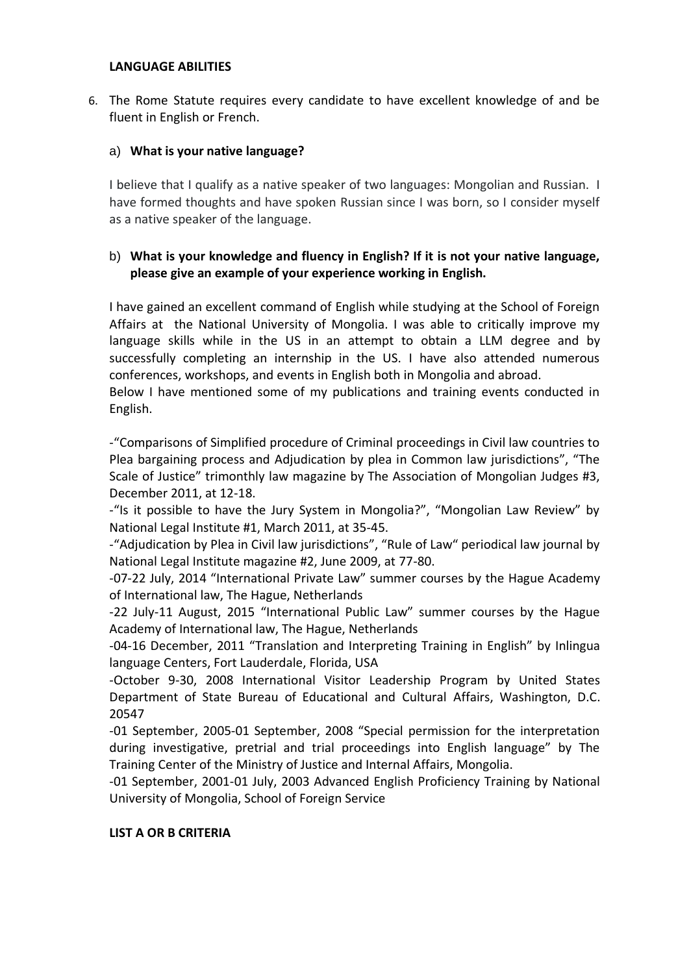#### **LANGUAGE ABILITIES**

6. The Rome Statute requires every candidate to have excellent knowledge of and be fluent in English or French.

#### a) **What is your native language?**

I believe that I qualify as a native speaker of two languages: Mongolian and Russian. I have formed thoughts and have spoken Russian since I was born, so I consider myself as a native speaker of the language.

### b) **What is your knowledge and fluency in English? If it is not your native language, please give an example of your experience working in English.**

I have gained an excellent command of English while studying at the School of Foreign Affairs at the National University of Mongolia. I was able to critically improve my language skills while in the US in an attempt to obtain a LLM degree and by successfully completing an internship in the US. I have also attended numerous conferences, workshops, and events in English both in Mongolia and abroad.

Below I have mentioned some of my publications and training events conducted in English.

-"Comparisons of Simplified procedure of Criminal proceedings in Civil law countries to Plea bargaining process and Adjudication by plea in Common law jurisdictions", "The Scale of Justice" trimonthly law magazine by The Association of Mongolian Judges #3, December 2011, at 12-18.

-"Is it possible to have the Jury System in Mongolia?", "Mongolian Law Review" by National Legal Institute #1, March 2011, at 35-45.

-"Adjudication by Plea in Civil law jurisdictions", "Rule of Law" periodical law journal by National Legal Institute magazine #2, June 2009, at 77-80.

-07-22 July, 2014 "International Private Law" summer courses by the Hague Academy of International law, The Hague, Netherlands

-22 July-11 August, 2015 "International Public Law" summer courses by the Hague Academy of International law, The Hague, Netherlands

-04-16 December, 2011 "Translation and Interpreting Training in English" by Inlingua language Centers, Fort Lauderdale, Florida, USA

-October 9-30, 2008 International Visitor Leadership Program by United States Department of State Bureau of Educational and Cultural Affairs, Washington, D.C. 20547

-01 September, 2005-01 September, 2008 "Special permission for the interpretation during investigative, pretrial and trial proceedings into English language" by The Training Center of the Ministry of Justice and Internal Affairs, Mongolia.

-01 September, 2001-01 July, 2003 Advanced English Proficiency Training by National University of Mongolia, School of Foreign Service

#### **LIST A OR B CRITERIA**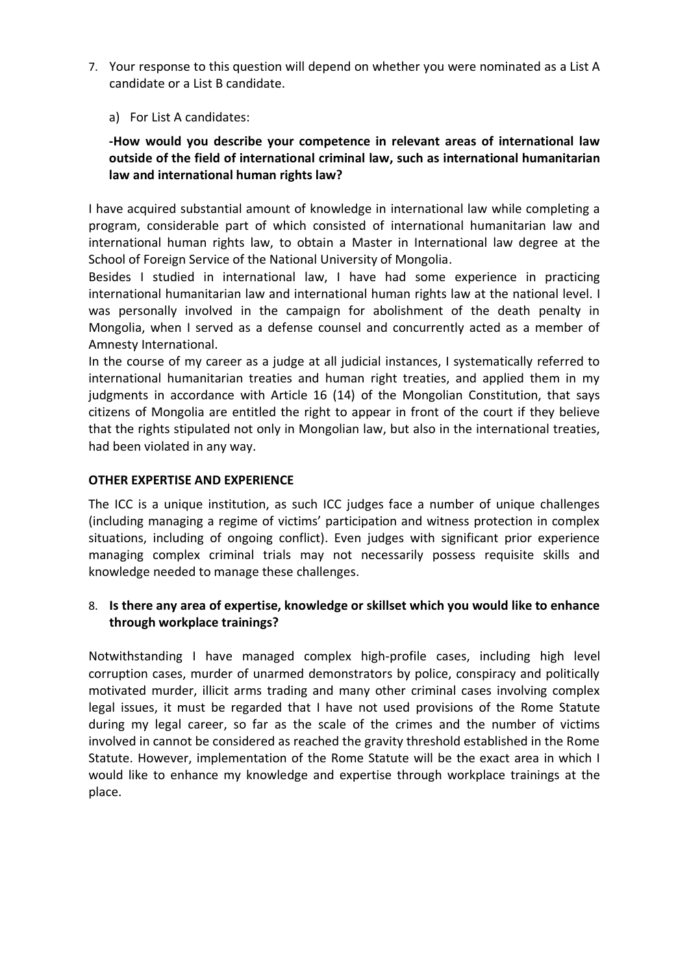7. Your response to this question will depend on whether you were nominated as a List A candidate or a List B candidate.

a) For List A candidates:

# **-How would you describe your competence in relevant areas of international law outside of the field of international criminal law, such as international humanitarian law and international human rights law?**

I have acquired substantial amount of knowledge in international law while completing a program, considerable part of which consisted of international humanitarian law and international human rights law, to obtain a Master in International law degree at the School of Foreign Service of the National University of Mongolia.

Besides I studied in international law, I have had some experience in practicing international humanitarian law and international human rights law at the national level. I was personally involved in the campaign for abolishment of the death penalty in Mongolia, when I served as a defense counsel and concurrently acted as a member of Amnesty International.

In the course of my career as a judge at all judicial instances, I systematically referred to international humanitarian treaties and human right treaties, and applied them in my judgments in accordance with Article 16 (14) of the Mongolian Constitution, that says citizens of Mongolia are entitled the right to appear in front of the court if they believe that the rights stipulated not only in Mongolian law, but also in the international treaties, had been violated in any way.

### **OTHER EXPERTISE AND EXPERIENCE**

The ICC is a unique institution, as such ICC judges face a number of unique challenges (including managing a regime of victims' participation and witness protection in complex situations, including of ongoing conflict). Even judges with significant prior experience managing complex criminal trials may not necessarily possess requisite skills and knowledge needed to manage these challenges.

### 8. **Is there any area of expertise, knowledge or skillset which you would like to enhance through workplace trainings?**

Notwithstanding I have managed complex high-profile cases, including high level corruption cases, murder of unarmed demonstrators by police, conspiracy and politically motivated murder, illicit arms trading and many other criminal cases involving complex legal issues, it must be regarded that I have not used provisions of the Rome Statute during my legal career, so far as the scale of the crimes and the number of victims involved in cannot be considered as reached the gravity threshold established in the Rome Statute. However, implementation of the Rome Statute will be the exact area in which I would like to enhance my knowledge and expertise through workplace trainings at the place.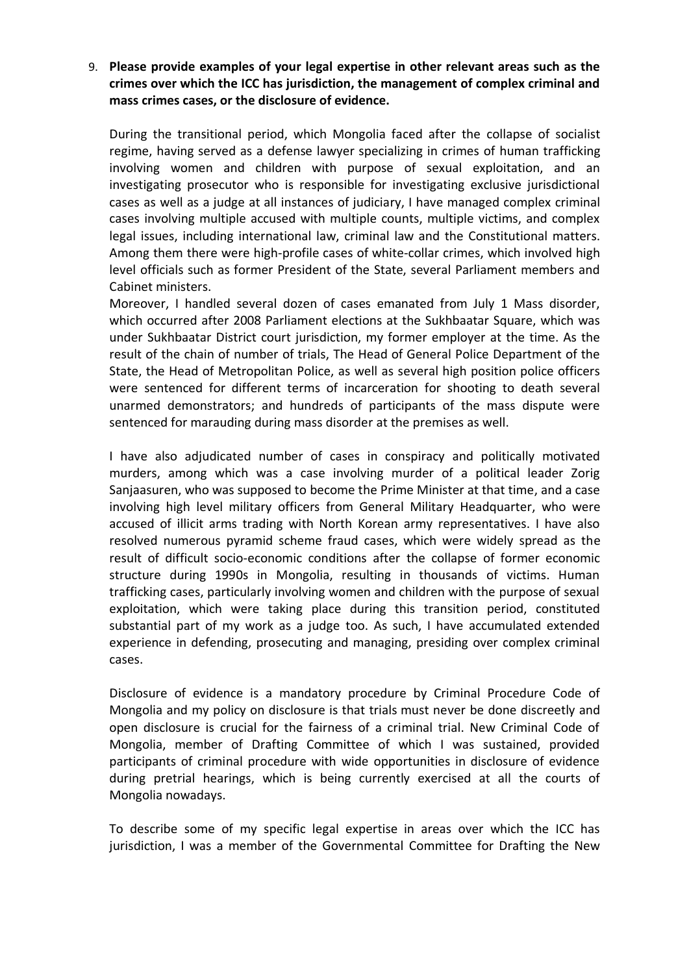### 9. **Please provide examples of your legal expertise in other relevant areas such as the crimes over which the ICC has jurisdiction, the management of complex criminal and mass crimes cases, or the disclosure of evidence.**

During the transitional period, which Mongolia faced after the collapse of socialist regime, having served as a defense lawyer specializing in crimes of human trafficking involving women and children with purpose of sexual exploitation, and an investigating prosecutor who is responsible for investigating exclusive jurisdictional cases as well as a judge at all instances of judiciary, I have managed complex criminal cases involving multiple accused with multiple counts, multiple victims, and complex legal issues, including international law, criminal law and the Constitutional matters. Among them there were high-profile cases of white-collar crimes, which involved high level officials such as former President of the State, several Parliament members and Cabinet ministers.

Moreover, I handled several dozen of cases emanated from July 1 Mass disorder, which occurred after 2008 Parliament elections at the Sukhbaatar Square, which was under Sukhbaatar District court jurisdiction, my former employer at the time. As the result of the chain of number of trials, The Head of General Police Department of the State, the Head of Metropolitan Police, as well as several high position police officers were sentenced for different terms of incarceration for shooting to death several unarmed demonstrators; and hundreds of participants of the mass dispute were sentenced for marauding during mass disorder at the premises as well.

I have also adjudicated number of cases in conspiracy and politically motivated murders, among which was a case involving murder of a political leader Zorig Sanjaasuren, who was supposed to become the Prime Minister at that time, and a case involving high level military officers from General Military Headquarter, who were accused of illicit arms trading with North Korean army representatives. I have also resolved numerous pyramid scheme fraud cases, which were widely spread as the result of difficult socio-economic conditions after the collapse of former economic structure during 1990s in Mongolia, resulting in thousands of victims. Human trafficking cases, particularly involving women and children with the purpose of sexual exploitation, which were taking place during this transition period, constituted substantial part of my work as a judge too. As such, I have accumulated extended experience in defending, prosecuting and managing, presiding over complex criminal cases.

Disclosure of evidence is a mandatory procedure by Criminal Procedure Code of Mongolia and my policy on disclosure is that trials must never be done discreetly and open disclosure is crucial for the fairness of a criminal trial. New Criminal Code of Mongolia, member of Drafting Committee of which I was sustained, provided participants of criminal procedure with wide opportunities in disclosure of evidence during pretrial hearings, which is being currently exercised at all the courts of Mongolia nowadays.

To describe some of my specific legal expertise in areas over which the ICC has jurisdiction, I was a member of the Governmental Committee for Drafting the New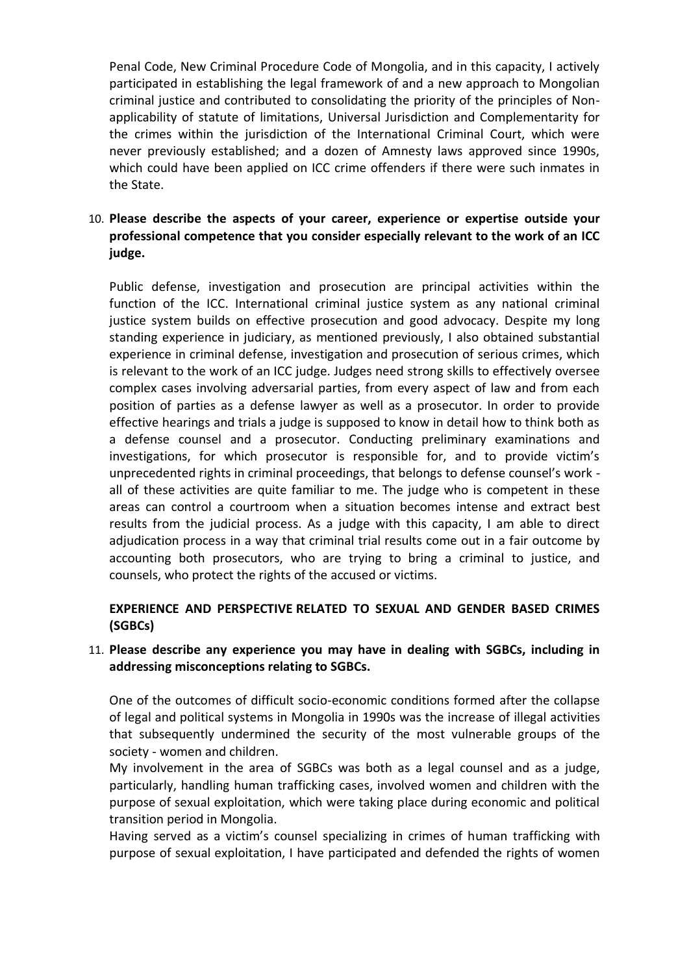Penal Code, New Criminal Procedure Code of Mongolia, and in this capacity, I actively participated in establishing the legal framework of and a new approach to Mongolian criminal justice and contributed to consolidating the priority of the principles of Nonapplicability of statute of limitations, Universal Jurisdiction and Complementarity for the crimes within the jurisdiction of the International Criminal Court, which were never previously established; and a dozen of Amnesty laws approved since 1990s, which could have been applied on ICC crime offenders if there were such inmates in the State.

# 10. **Please describe the aspects of your career, experience or expertise outside your professional competence that you consider especially relevant to the work of an ICC judge.**

Public defense, investigation and prosecution are principal activities within the function of the ICC. International criminal justice system as any national criminal justice system builds on effective prosecution and good advocacy. Despite my long standing experience in judiciary, as mentioned previously, I also obtained substantial experience in criminal defense, investigation and prosecution of serious crimes, which is relevant to the work of an ICC judge. Judges need strong skills to effectively oversee complex cases involving adversarial parties, from every aspect of law and from each position of parties as a defense lawyer as well as a prosecutor. In order to provide effective hearings and trials a judge is supposed to know in detail how to think both as a defense counsel and a prosecutor. Conducting preliminary examinations and investigations, for which prosecutor is responsible for, and to provide victim's unprecedented rights in criminal proceedings, that belongs to defense counsel's work all of these activities are quite familiar to me. The judge who is competent in these areas can control a courtroom when a situation becomes intense and extract best results from the judicial process. As a judge with this capacity, I am able to direct adjudication process in a way that criminal trial results come out in a fair outcome by accounting both prosecutors, who are trying to bring a criminal to justice, and counsels, who protect the rights of the accused or victims.

### **EXPERIENCE AND PERSPECTIVE RELATED TO SEXUAL AND GENDER BASED CRIMES (SGBCs)**

### 11. **Please describe any experience you may have in dealing with SGBCs, including in addressing misconceptions relating to SGBCs.**

One of the outcomes of difficult socio-economic conditions formed after the collapse of legal and political systems in Mongolia in 1990s was the increase of illegal activities that subsequently undermined the security of the most vulnerable groups of the society - women and children.

My involvement in the area of SGBCs was both as a legal counsel and as a judge, particularly, handling human trafficking cases, involved women and children with the purpose of sexual exploitation, which were taking place during economic and political transition period in Mongolia.

Having served as a victim's counsel specializing in crimes of human trafficking with purpose of sexual exploitation, I have participated and defended the rights of women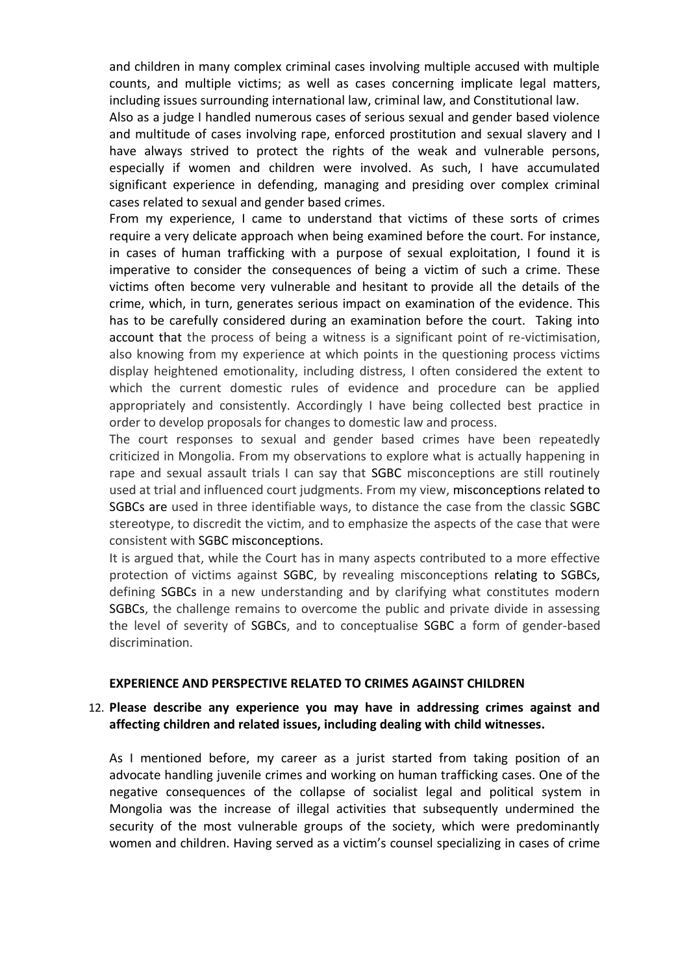and children in many complex criminal cases involving multiple accused with multiple counts, and multiple victims; as well as cases concerning implicate legal matters, including issues surrounding international law, criminal law, and Constitutional law.

Also as a judge I handled numerous cases of serious sexual and gender based violence and multitude of cases involving rape, enforced prostitution and sexual slavery and I have always strived to protect the rights of the weak and vulnerable persons, especially if women and children were involved. As such, I have accumulated significant experience in defending, managing and presiding over complex criminal cases related to sexual and gender based crimes.

From my experience, I came to understand that victims of these sorts of crimes require a very delicate approach when being examined before the court. For instance, in cases of human trafficking with a purpose of sexual exploitation, I found it is imperative to consider the consequences of being a victim of such a crime. These victims often become very vulnerable and hesitant to provide all the details of the crime, which, in turn, generates serious impact on examination of the evidence. This has to be carefully considered during an examination before the court. Taking into account that the process of being a witness is a significant point of re-victimisation, also knowing from my experience at which points in the questioning process victims display heightened emotionality, including distress, I often considered the extent to which the current domestic rules of evidence and procedure can be applied appropriately and consistently. Accordingly I have being collected best practice in order to develop proposals for changes to domestic law and process.

The court responses to sexual and gender based crimes have been repeatedly criticized in Mongolia. From my observations to explore what is actually happening in rape and sexual assault trials I can say that SGBC misconceptions are still routinely used at trial and influenced court judgments. From my view, misconceptions related to SGBCs are used in three identifiable ways, to distance the case from the classic SGBC stereotype, to discredit the victim, and to emphasize the aspects of the case that were consistent with SGBC misconceptions.

It is argued that, while the Court has in many aspects contributed to a more effective protection of victims against SGBC, by revealing misconceptions relating to SGBCs, defining SGBCs in a new understanding and by clarifying what constitutes modern SGBCs, the challenge remains to overcome the public and private divide in assessing the level of severity of SGBCs, and to conceptualise SGBC a form of gender-based discrimination.

#### **EXPERIENCE AND PERSPECTIVE RELATED TO CRIMES AGAINST CHILDREN**

#### 12. **Please describe any experience you may have in addressing crimes against and affecting children and related issues, including dealing with child witnesses.**

As I mentioned before, my career as a jurist started from taking position of an advocate handling juvenile crimes and working on human trafficking cases. One of the negative consequences of the collapse of socialist legal and political system in Mongolia was the increase of illegal activities that subsequently undermined the security of the most vulnerable groups of the society, which were predominantly women and children. Having served as a victim's counsel specializing in cases of crime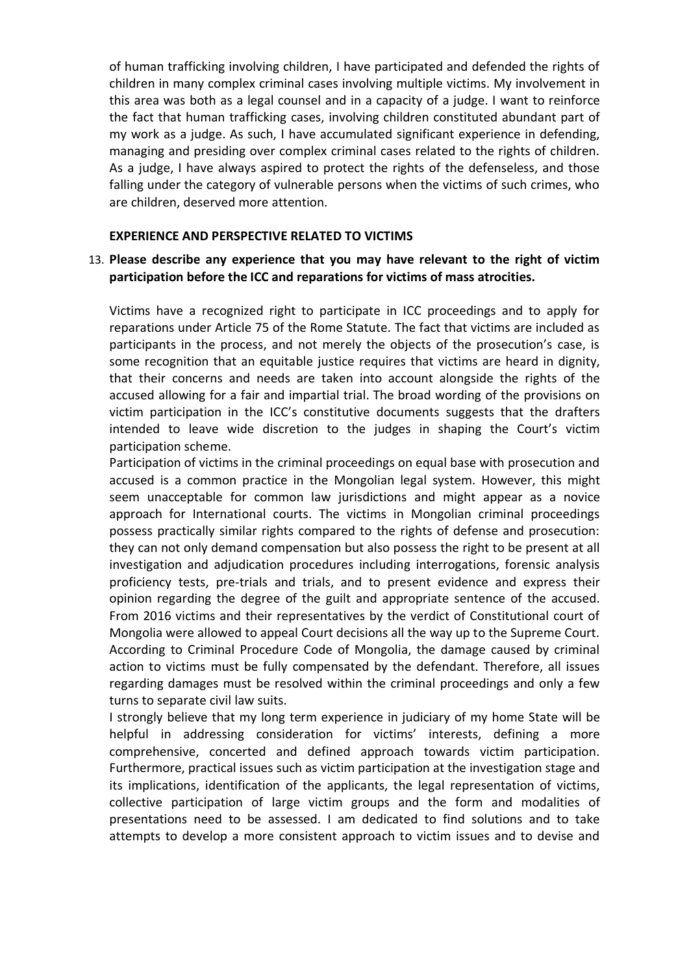of human trafficking involving children, I have participated and defended the rights of children in many complex criminal cases involving multiple victims. My involvement in this area was both as a legal counsel and in a capacity of a judge. I want to reinforce the fact that human trafficking cases, involving children constituted abundant part of my work as a judge. As such, I have accumulated significant experience in defending, managing and presiding over complex criminal cases related to the rights of children. As a judge, I have always aspired to protect the rights of the defenseless, and those falling under the category of vulnerable persons when the victims of such crimes, who are children, deserved more attention.

#### **EXPERIENCE AND PERSPECTIVE RELATED TO VICTIMS**

#### 13. **Please describe any experience that you may have relevant to the right of victim participation before the ICC and reparations for victims of mass atrocities.**

Victims have a recognized right to participate in ICC proceedings and to apply for reparations under Article 75 of the Rome Statute. The fact that victims are included as participants in the process, and not merely the objects of the prosecution's case, is some recognition that an equitable justice requires that victims are heard in dignity, that their concerns and needs are taken into account alongside the rights of the accused allowing for a fair and impartial trial. The broad wording of the provisions on victim participation in the ICC's constitutive documents suggests that the drafters intended to leave wide discretion to the judges in shaping the Court's victim participation scheme.

Participation of victims in the criminal proceedings on equal base with prosecution and accused is a common practice in the Mongolian legal system. However, this might seem unacceptable for common law jurisdictions and might appear as a novice approach for International courts. The victims in Mongolian criminal proceedings possess practically similar rights compared to the rights of defense and prosecution: they can not only demand compensation but also possess the right to be present at all investigation and adjudication procedures including interrogations, forensic analysis proficiency tests, pre-trials and trials, and to present evidence and express their opinion regarding the degree of the guilt and appropriate sentence of the accused. From 2016 victims and their representatives by the verdict of Constitutional court of Mongolia were allowed to appeal Court decisions all the way up to the Supreme Court. According to Criminal Procedure Code of Mongolia, the damage caused by criminal action to victims must be fully compensated by the defendant. Therefore, all issues regarding damages must be resolved within the criminal proceedings and only a few turns to separate civil law suits.

I strongly believe that my long term experience in judiciary of my home State will be helpful in addressing consideration for victims' interests, defining a more comprehensive, concerted and defined approach towards victim participation. Furthermore, practical issues such as victim participation at the investigation stage and its implications, identification of the applicants, the legal representation of victims, collective participation of large victim groups and the form and modalities of presentations need to be assessed. I am dedicated to find solutions and to take attempts to develop a more consistent approach to victim issues and to devise and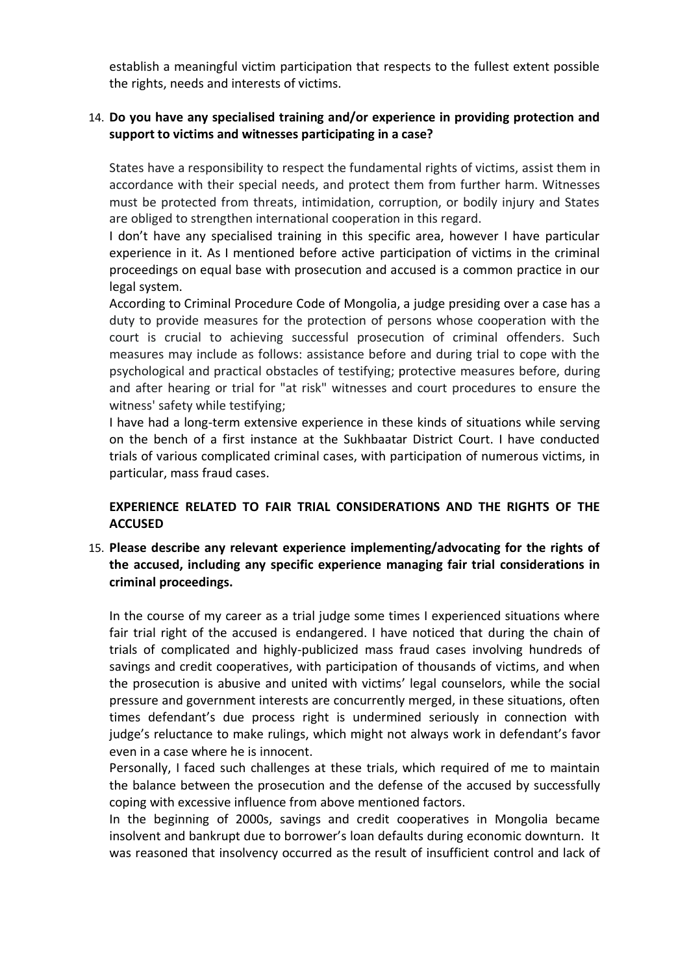establish a meaningful victim participation that respects to the fullest extent possible the rights, needs and interests of victims.

## 14. **Do you have any specialised training and/or experience in providing protection and support to victims and witnesses participating in a case?**

States have a responsibility to respect the fundamental rights of victims, assist them in accordance with their special needs, and protect them from further harm. Witnesses must be protected from threats, intimidation, corruption, or bodily injury and States are obliged to strengthen international cooperation in this regard.

I don't have any specialised training in this specific area, however I have particular experience in it. As I mentioned before active participation of victims in the criminal proceedings on equal base with prosecution and accused is a common practice in our legal system.

According to Criminal Procedure Code of Mongolia, a judge presiding over a case has a duty to provide measures for the protection of persons whose cooperation with the court is crucial to achieving successful prosecution of criminal offenders. Such measures may include as follows: assistance before and during trial to cope with the psychological and practical obstacles of testifying; protective measures before, during and after hearing or trial for "at risk" witnesses and court procedures to ensure the witness' safety while testifying;

I have had a long-term extensive experience in these kinds of situations while serving on the bench of a first instance at the Sukhbaatar District Court. I have conducted trials of various complicated criminal cases, with participation of numerous victims, in particular, mass fraud cases.

### **EXPERIENCE RELATED TO FAIR TRIAL CONSIDERATIONS AND THE RIGHTS OF THE ACCUSED**

# 15. **Please describe any relevant experience implementing/advocating for the rights of the accused, including any specific experience managing fair trial considerations in criminal proceedings.**

In the course of my career as a trial judge some times I experienced situations where fair trial right of the accused is endangered. I have noticed that during the chain of trials of complicated and highly-publicized mass fraud cases involving hundreds of savings and credit cooperatives, with participation of thousands of victims, and when the prosecution is abusive and united with victims' legal counselors, while the social pressure and government interests are concurrently merged, in these situations, often times defendant's due process right is undermined seriously in connection with judge's reluctance to make rulings, which might not always work in defendant's favor even in a case where he is innocent.

Personally, I faced such challenges at these trials, which required of me to maintain the balance between the prosecution and the defense of the accused by successfully coping with excessive influence from above mentioned factors.

In the beginning of 2000s, savings and credit cooperatives in Mongolia became insolvent and bankrupt due to borrower's loan defaults during economic downturn. It was reasoned that insolvency occurred as the result of insufficient control and lack of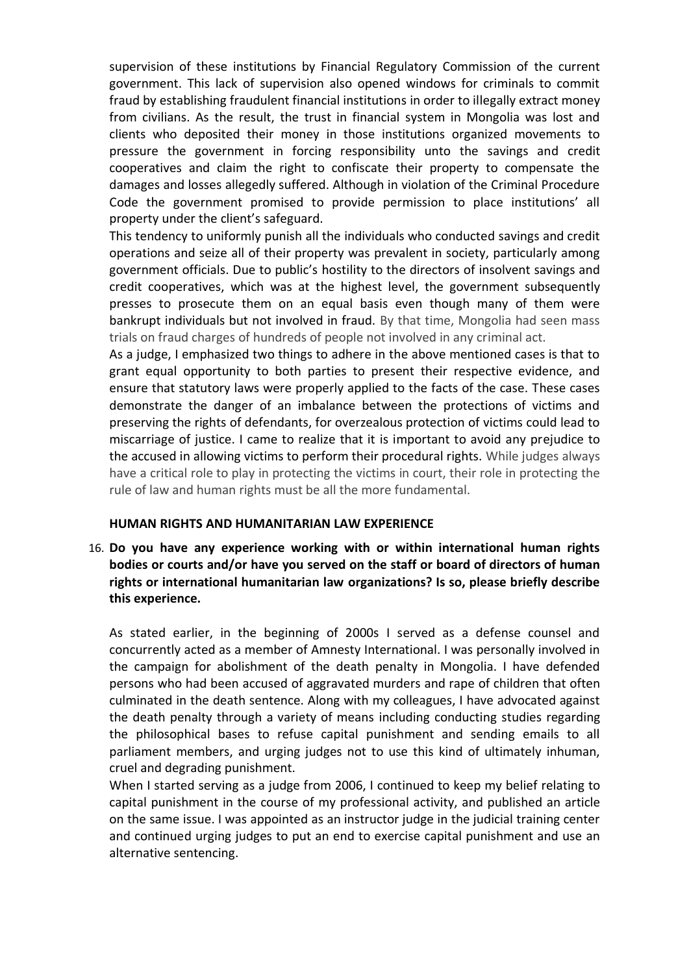supervision of these institutions by Financial Regulatory Commission of the current government. This lack of supervision also opened windows for criminals to commit fraud by establishing fraudulent financial institutions in order to illegally extract money from civilians. As the result, the trust in financial system in Mongolia was lost and clients who deposited their money in those institutions organized movements to pressure the government in forcing responsibility unto the savings and credit cooperatives and claim the right to confiscate their property to compensate the damages and losses allegedly suffered. Although in violation of the Criminal Procedure Code the government promised to provide permission to place institutions' all property under the client's safeguard.

This tendency to uniformly punish all the individuals who conducted savings and credit operations and seize all of their property was prevalent in society, particularly among government officials. Due to public's hostility to the directors of insolvent savings and credit cooperatives, which was at the highest level, the government subsequently presses to prosecute them on an equal basis even though many of them were bankrupt individuals but not involved in fraud. By that time, Mongolia had seen mass trials on fraud charges of hundreds of people not involved in any criminal act.

As a judge, I emphasized two things to adhere in the above mentioned cases is that to grant equal opportunity to both parties to present their respective evidence, and ensure that statutory laws were properly applied to the facts of the case. These cases demonstrate the danger of an imbalance between the protections of victims and preserving the rights of defendants, for overzealous protection of victims could lead to miscarriage of justice. I came to realize that it is important to avoid any prejudice to the accused in allowing victims to perform their procedural rights. While judges always have a critical role to play in protecting the victims in court, their role in protecting the rule of law and human rights must be all the more fundamental.

#### **HUMAN RIGHTS AND HUMANITARIAN LAW EXPERIENCE**

16. **Do you have any experience working with or within international human rights bodies or courts and/or have you served on the staff or board of directors of human rights or international humanitarian law organizations? Is so, please briefly describe this experience.**

As stated earlier, in the beginning of 2000s I served as a defense counsel and concurrently acted as a member of Amnesty International. I was personally involved in the campaign for abolishment of the death penalty in Mongolia. I have defended persons who had been accused of aggravated murders and rape of children that often culminated in the death sentence. Along with my colleagues, I have advocated against the death penalty through a variety of means including conducting studies regarding the philosophical bases to refuse capital punishment and sending emails to all parliament members, and urging judges not to use this kind of ultimately inhuman, cruel and degrading punishment.

When I started serving as a judge from 2006, I continued to keep my belief relating to capital punishment in the course of my professional activity, and published an article on the same issue. I was appointed as an instructor judge in the judicial training center and continued urging judges to put an end to exercise capital punishment and use an alternative sentencing.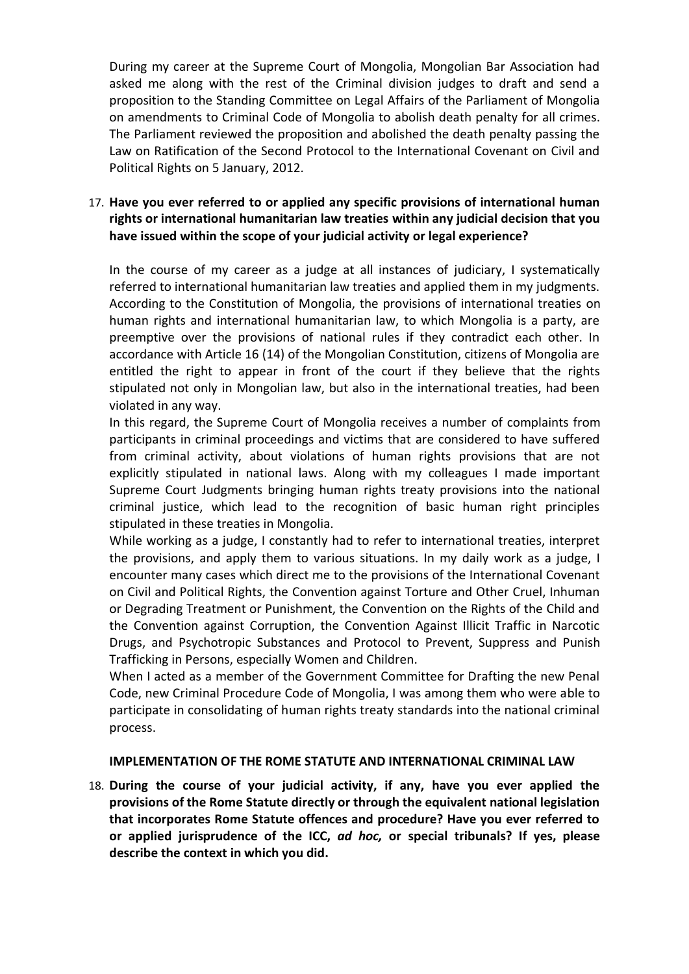During my career at the Supreme Court of Mongolia, Mongolian Bar Association had asked me along with the rest of the Criminal division judges to draft and send a proposition to the Standing Committee on Legal Affairs of the Parliament of Mongolia on amendments to Criminal Code of Mongolia to abolish death penalty for all crimes. The Parliament reviewed the proposition and abolished the death penalty passing the Law on Ratification of the Second Protocol to the International Covenant on Civil and Political Rights on 5 January, 2012.

# 17. **Have you ever referred to or applied any specific provisions of international human rights or international humanitarian law treaties within any judicial decision that you have issued within the scope of your judicial activity or legal experience?**

In the course of my career as a judge at all instances of judiciary, I systematically referred to international humanitarian law treaties and applied them in my judgments. According to the Constitution of Mongolia, the provisions of international treaties on human rights and international humanitarian law, to which Mongolia is a party, are preemptive over the provisions of national rules if they contradict each other. In accordance with Article 16 (14) of the Mongolian Constitution, citizens of Mongolia are entitled the right to appear in front of the court if they believe that the rights stipulated not only in Mongolian law, but also in the international treaties, had been violated in any way.

In this regard, the Supreme Court of Mongolia receives a number of complaints from participants in criminal proceedings and victims that are considered to have suffered from criminal activity, about violations of human rights provisions that are not explicitly stipulated in national laws. Along with my colleagues I made important Supreme Court Judgments bringing human rights treaty provisions into the national criminal justice, which lead to the recognition of basic human right principles stipulated in these treaties in Mongolia.

While working as a judge, I constantly had to refer to international treaties, interpret the provisions, and apply them to various situations. In my daily work as a judge, I encounter many cases which direct me to the provisions of the International Covenant on Civil and Political Rights, the Convention against Torture and Other Cruel, Inhuman or Degrading Treatment or Punishment, the Convention on the Rights of the Child and the Convention against Corruption, the Convention Against Illicit Traffic in Narcotic Drugs, and Psychotropic Substances and Protocol to Prevent, Suppress and Punish Trafficking in Persons, especially Women and Children.

When I acted as a member of the Government Committee for Drafting the new Penal Code, new Criminal Procedure Code of Mongolia, I was among them who were able to participate in consolidating of human rights treaty standards into the national criminal process.

#### **IMPLEMENTATION OF THE ROME STATUTE AND INTERNATIONAL CRIMINAL LAW**

18. **During the course of your judicial activity, if any, have you ever applied the provisions of the Rome Statute directly or through the equivalent national legislation that incorporates Rome Statute offences and procedure? Have you ever referred to or applied jurisprudence of the ICC,** *ad hoc,* **or special tribunals? If yes, please describe the context in which you did.**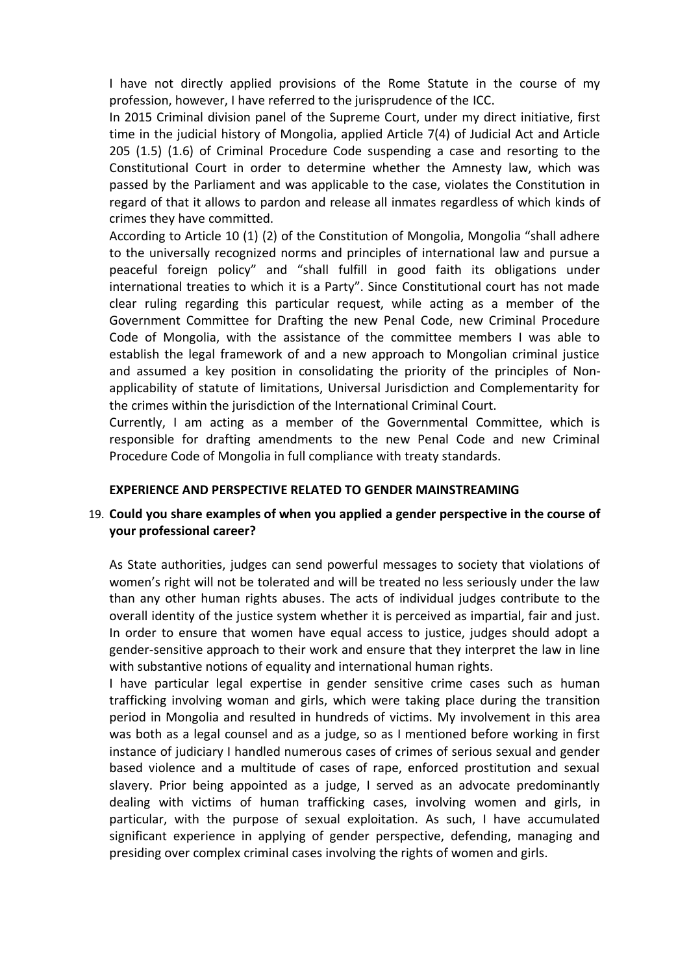I have not directly applied provisions of the Rome Statute in the course of my profession, however, I have referred to the jurisprudence of the ICC.

In 2015 Criminal division panel of the Supreme Court, under my direct initiative, first time in the judicial history of Mongolia, applied Article 7(4) of Judicial Act and Article 205 (1.5) (1.6) of Criminal Procedure Code suspending a case and resorting to the Constitutional Court in order to determine whether the Amnesty law, which was passed by the Parliament and was applicable to the case, violates the Constitution in regard of that it allows to pardon and release all inmates regardless of which kinds of crimes they have committed.

According to Article 10 (1) (2) of the Constitution of Mongolia, Mongolia "shall adhere to the universally recognized norms and principles of international law and pursue a peaceful foreign policy" and "shall fulfill in good faith its obligations under international treaties to which it is a Party". Since Constitutional court has not made clear ruling regarding this particular request, while acting as a member of the Government Committee for Drafting the new Penal Code, new Criminal Procedure Code of Mongolia, with the assistance of the committee members I was able to establish the legal framework of and a new approach to Mongolian criminal justice and assumed a key position in consolidating the priority of the principles of Nonapplicability of statute of limitations, Universal Jurisdiction and Complementarity for the crimes within the jurisdiction of the International Criminal Court.

Currently, I am acting as a member of the Governmental Committee, which is responsible for drafting amendments to the new Penal Code and new Criminal Procedure Code of Mongolia in full compliance with treaty standards.

#### **EXPERIENCE AND PERSPECTIVE RELATED TO GENDER MAINSTREAMING**

### 19. **Could you share examples of when you applied a gender perspective in the course of your professional career?**

As State authorities, judges can send powerful messages to society that violations of women's right will not be tolerated and will be treated no less seriously under the law than any other human rights abuses. The acts of individual judges contribute to the overall identity of the justice system whether it is perceived as impartial, fair and just. In order to ensure that women have equal access to justice, judges should adopt a gender-sensitive approach to their work and ensure that they interpret the law in line with substantive notions of equality and international human rights.

I have particular legal expertise in gender sensitive crime cases such as human trafficking involving woman and girls, which were taking place during the transition period in Mongolia and resulted in hundreds of victims. My involvement in this area was both as a legal counsel and as a judge, so as I mentioned before working in first instance of judiciary I handled numerous cases of crimes of serious sexual and gender based violence and a multitude of cases of rape, enforced prostitution and sexual slavery. Prior being appointed as a judge, I served as an advocate predominantly dealing with victims of human trafficking cases, involving women and girls, in particular, with the purpose of sexual exploitation. As such, I have accumulated significant experience in applying of gender perspective, defending, managing and presiding over complex criminal cases involving the rights of women and girls.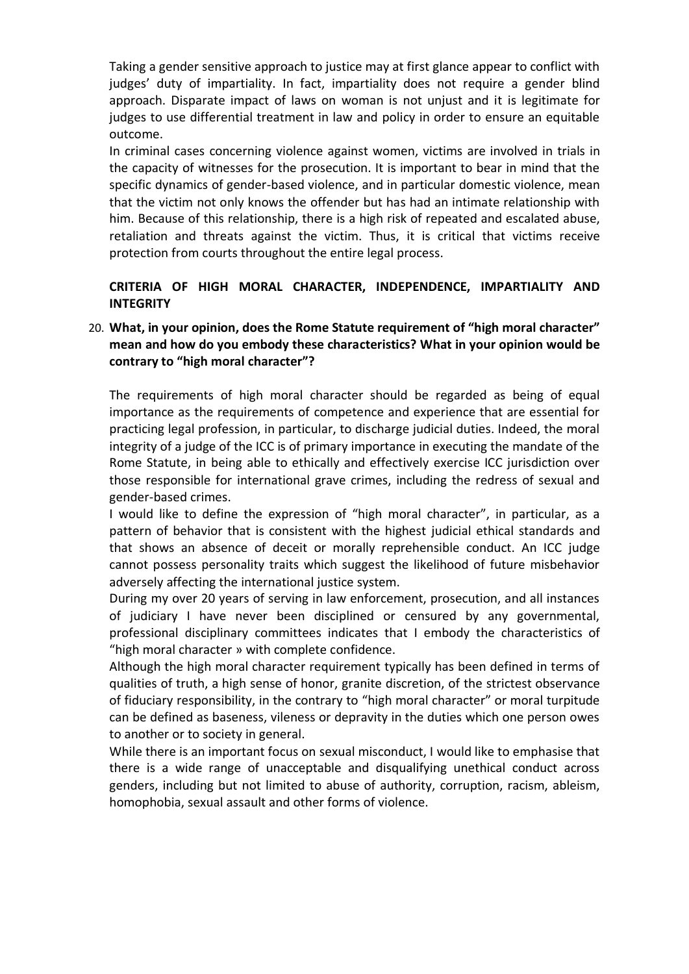Taking a gender sensitive approach to justice may at first glance appear to conflict with judges' duty of impartiality. In fact, impartiality does not require a gender blind approach. Disparate impact of laws on woman is not unjust and it is legitimate for judges to use differential treatment in law and policy in order to ensure an equitable outcome.

In criminal cases concerning violence against women, victims are involved in trials in the capacity of witnesses for the prosecution. It is important to bear in mind that the specific dynamics of gender-based violence, and in particular domestic violence, mean that the victim not only knows the offender but has had an intimate relationship with him. Because of this relationship, there is a high risk of repeated and escalated abuse, retaliation and threats against the victim. Thus, it is critical that victims receive protection from courts throughout the entire legal process.

# **CRITERIA OF HIGH MORAL CHARACTER, INDEPENDENCE, IMPARTIALITY AND INTEGRITY**

# 20. **What, in your opinion, does the Rome Statute requirement of "high moral character" mean and how do you embody these characteristics? What in your opinion would be contrary to "high moral character"?**

The requirements of high moral character should be regarded as being of equal importance as the requirements of competence and experience that are essential for practicing legal profession, in particular, to discharge judicial duties. Indeed, the moral integrity of a judge of the ICC is of primary importance in executing the mandate of the Rome Statute, in being able to ethically and effectively exercise ICC jurisdiction over those responsible for international grave crimes, including the redress of sexual and gender-based crimes.

I would like to define the expression of "high moral character", in particular, as a pattern of behavior that is consistent with the highest judicial ethical standards and that shows an absence of deceit or morally reprehensible conduct. An ICC judge cannot possess personality traits which suggest the likelihood of future misbehavior adversely affecting the international justice system.

During my over 20 years of serving in law enforcement, prosecution, and all instances of judiciary I have never been disciplined or censured by any governmental, professional disciplinary committees indicates that I embody the characteristics of "high moral character » with complete confidence.

Although the high moral character requirement typically has been defined in terms of qualities of truth, a high sense of honor, granite discretion, of the strictest observance of fiduciary responsibility, in the contrary to "high moral character" or moral turpitude can be defined as baseness, vileness or depravity in the duties which one person owes to another or to society in general.

While there is an important focus on sexual misconduct, I would like to emphasise that there is a wide range of unacceptable and disqualifying unethical conduct across genders, including but not limited to abuse of authority, corruption, racism, ableism, homophobia, sexual assault and other forms of violence.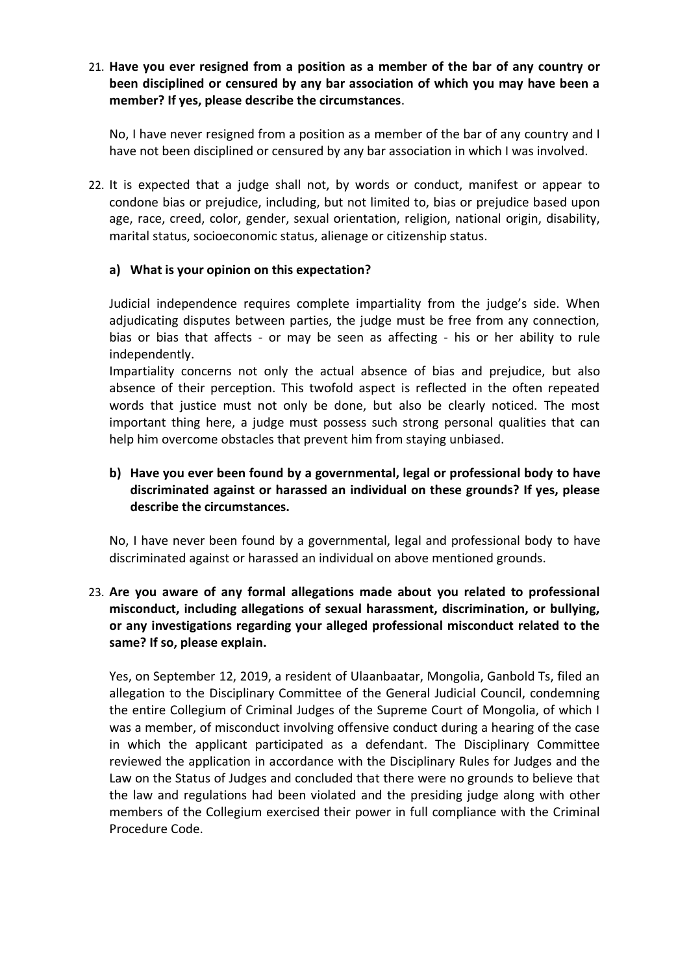21. **Have you ever resigned from a position as a member of the bar of any country or been disciplined or censured by any bar association of which you may have been a member? If yes, please describe the circumstances**.

No, I have never resigned from a position as a member of the bar of any country and I have not been disciplined or censured by any bar association in which I was involved.

22. It is expected that a judge shall not, by words or conduct, manifest or appear to condone bias or prejudice, including, but not limited to, bias or prejudice based upon age, race, creed, color, gender, sexual orientation, religion, national origin, disability, marital status, socioeconomic status, alienage or citizenship status.

### **a) What is your opinion on this expectation?**

Judicial independence requires complete impartiality from the judge's side. When adjudicating disputes between parties, the judge must be free from any connection, bias or bias that affects - or may be seen as affecting - his or her ability to rule independently.

Impartiality concerns not only the actual absence of bias and prejudice, but also absence of their perception. This twofold aspect is reflected in the often repeated words that justice must not only be done, but also be clearly noticed. The most important thing here, a judge must possess such strong personal qualities that can help him overcome obstacles that prevent him from staying unbiased.

# **b) Have you ever been found by a governmental, legal or professional body to have discriminated against or harassed an individual on these grounds? If yes, please describe the circumstances.**

No, I have never been found by a governmental, legal and professional body to have discriminated against or harassed an individual on above mentioned grounds.

# 23. **Are you aware of any formal allegations made about you related to professional misconduct, including allegations of sexual harassment, discrimination, or bullying, or any investigations regarding your alleged professional misconduct related to the same? If so, please explain.**

Yes, on September 12, 2019, a resident of Ulaanbaatar, Mongolia, Ganbold Ts, filed an allegation to the Disciplinary Committee of the General Judicial Council, condemning the entire Collegium of Criminal Judges of the Supreme Court of Mongolia, of which I was a member, of misconduct involving offensive conduct during a hearing of the case in which the applicant participated as a defendant. The Disciplinary Committee reviewed the application in accordance with the Disciplinary Rules for Judges and the Law on the Status of Judges and concluded that there were no grounds to believe that the law and regulations had been violated and the presiding judge along with other members of the Collegium exercised their power in full compliance with the Criminal Procedure Code.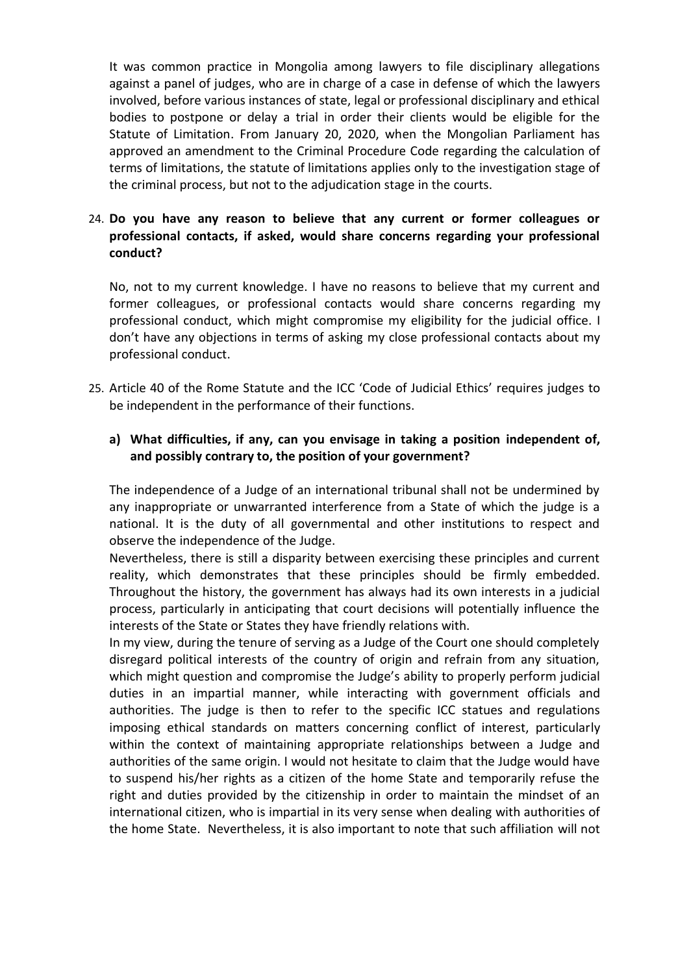It was common practice in Mongolia among lawyers to file disciplinary allegations against a panel of judges, who are in charge of a case in defense of which the lawyers involved, before various instances of state, legal or professional disciplinary and ethical bodies to postpone or delay a trial in order their clients would be eligible for the Statute of Limitation. From January 20, 2020, when the Mongolian Parliament has approved an amendment to the Criminal Procedure Code regarding the calculation of terms of limitations, the statute of limitations applies only to the investigation stage of the criminal process, but not to the adjudication stage in the courts.

# 24. **Do you have any reason to believe that any current or former colleagues or professional contacts, if asked, would share concerns regarding your professional conduct?**

No, not to my current knowledge. I have no reasons to believe that my current and former colleagues, or professional contacts would share concerns regarding my professional conduct, which might compromise my eligibility for the judicial office. I don't have any objections in terms of asking my close professional contacts about my professional conduct.

25. Article 40 of the Rome Statute and the ICC 'Code of Judicial Ethics' requires judges to be independent in the performance of their functions.

#### **a) What difficulties, if any, can you envisage in taking a position independent of, and possibly contrary to, the position of your government?**

The independence of a Judge of an international tribunal shall not be undermined by any inappropriate or unwarranted interference from a State of which the judge is a national. It is the duty of all governmental and other institutions to respect and observe the independence of the Judge.

Nevertheless, there is still a disparity between exercising these principles and current reality, which demonstrates that these principles should be firmly embedded. Throughout the history, the government has always had its own interests in a judicial process, particularly in anticipating that court decisions will potentially influence the interests of the State or States they have friendly relations with.

In my view, during the tenure of serving as a Judge of the Court one should completely disregard political interests of the country of origin and refrain from any situation, which might question and compromise the Judge's ability to properly perform judicial duties in an impartial manner, while interacting with government officials and authorities. The judge is then to refer to the specific ICC statues and regulations imposing ethical standards on matters concerning conflict of interest, particularly within the context of maintaining appropriate relationships between a Judge and authorities of the same origin. I would not hesitate to claim that the Judge would have to suspend his/her rights as a citizen of the home State and temporarily refuse the right and duties provided by the citizenship in order to maintain the mindset of an international citizen, who is impartial in its very sense when dealing with authorities of the home State. Nevertheless, it is also important to note that such affiliation will not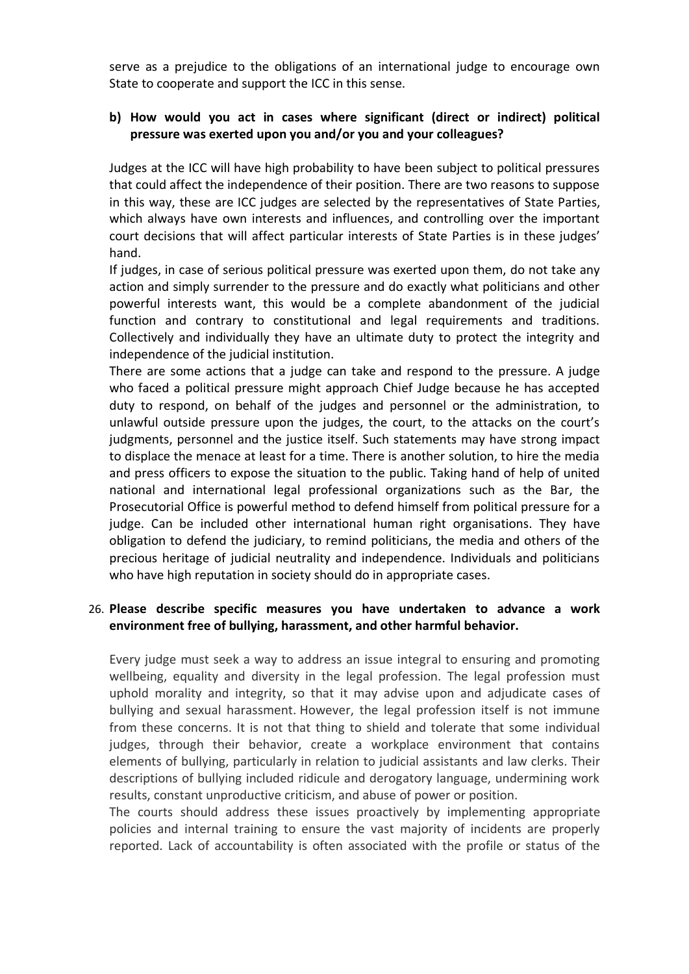serve as a prejudice to the obligations of an international judge to encourage own State to cooperate and support the ICC in this sense.

#### **b) How would you act in cases where significant (direct or indirect) political pressure was exerted upon you and/or you and your colleagues?**

Judges at the ICC will have high probability to have been subject to political pressures that could affect the independence of their position. There are two reasons to suppose in this way, these are ICC judges are selected by the representatives of State Parties, which always have own interests and influences, and controlling over the important court decisions that will affect particular interests of State Parties is in these judges' hand.

If judges, in case of serious political pressure was exerted upon them, do not take any action and simply surrender to the pressure and do exactly what politicians and other powerful interests want, this would be a complete abandonment of the judicial function and contrary to constitutional and legal requirements and traditions. Collectively and individually they have an ultimate duty to protect the integrity and independence of the judicial institution.

There are some actions that a judge can take and respond to the pressure. A judge who faced a political pressure might approach Chief Judge because he has accepted duty to respond, on behalf of the judges and personnel or the administration, to unlawful outside pressure upon the judges, the court, to the attacks on the court's judgments, personnel and the justice itself. Such statements may have strong impact to displace the menace at least for a time. There is another solution, to hire the media and press officers to expose the situation to the public. Taking hand of help of united national and international legal professional organizations such as the Bar, the Prosecutorial Office is powerful method to defend himself from political pressure for a judge. Can be included other international human right organisations. They have obligation to defend the judiciary, to remind politicians, the media and others of the precious heritage of judicial neutrality and independence. Individuals and politicians who have high reputation in society should do in appropriate cases.

#### 26. **Please describe specific measures you have undertaken to advance a work environment free of bullying, harassment, and other harmful behavior.**

Every judge must seek a way to address an issue integral to ensuring and promoting wellbeing, equality and diversity in the legal profession. The legal profession must uphold morality and integrity, so that it may advise upon and adjudicate cases of bullying and sexual harassment. However, the legal profession itself is not immune from these concerns. It is not that thing to shield and tolerate that some individual judges, through their behavior, create a workplace environment that contains elements of bullying, particularly in relation to judicial assistants and law clerks. Their descriptions of bullying included ridicule and derogatory language, undermining work results, constant unproductive criticism, and abuse of power or position.

The courts should address these issues proactively by implementing appropriate policies and internal training to ensure the vast majority of incidents are properly reported. Lack of accountability is often associated with the profile or status of the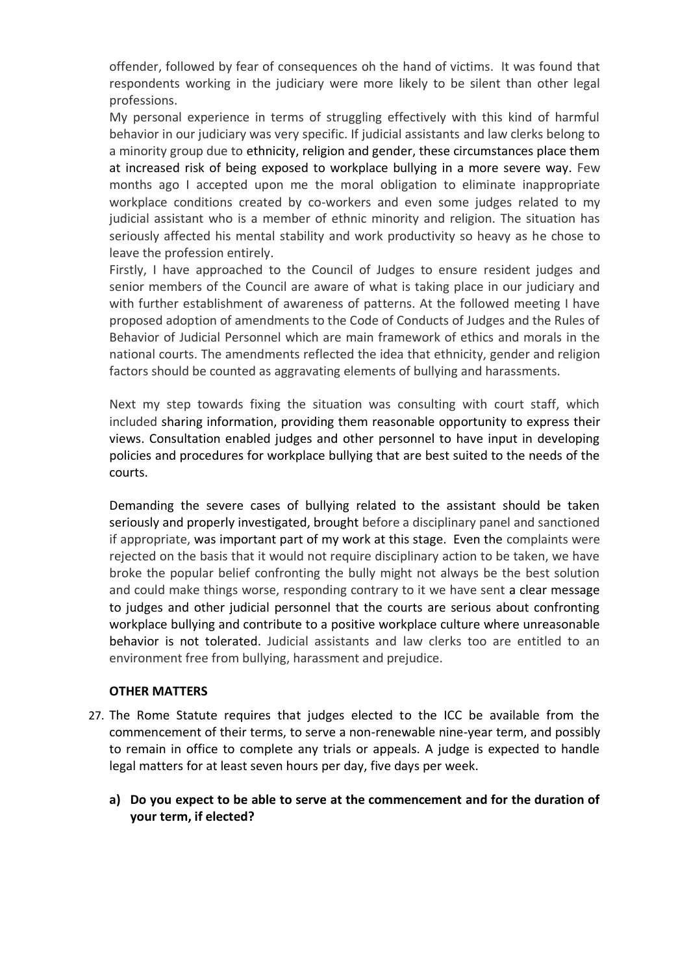offender, followed by fear of consequences oh the hand of victims. It was found that respondents working in the judiciary were more likely to be silent than other legal professions.

My personal experience in terms of struggling effectively with this kind of harmful behavior in our judiciary was very specific. If judicial assistants and law clerks belong to a minority group due to ethnicity, religion and gender, these circumstances place them at increased risk of being exposed to workplace bullying in a more severe way. Few months ago I accepted upon me the moral obligation to eliminate inappropriate workplace conditions created by co-workers and even some judges related to my judicial assistant who is a member of ethnic minority and religion. The situation has seriously affected his mental stability and work productivity so heavy as he chose to leave the profession entirely.

Firstly, I have approached to the Council of Judges to ensure resident judges and senior members of the Council are aware of what is taking place in our judiciary and with further establishment of awareness of patterns. At the followed meeting I have proposed adoption of amendments to the Code of Conducts of Judges and the Rules of Behavior of Judicial Personnel which are main framework of ethics and morals in the national courts. The amendments reflected the idea that ethnicity, gender and religion factors should be counted as aggravating elements of bullying and harassments.

Next my step towards fixing the situation was consulting with court staff, which included sharing information, providing them reasonable opportunity to express their views. Consultation enabled judges and other personnel to have input in developing policies and procedures for workplace bullying that are best suited to the needs of the courts.

Demanding the severe cases of bullying related to the assistant should be taken seriously and properly investigated, brought before a disciplinary panel and sanctioned if appropriate, was important part of my work at this stage. Even the complaints were rejected on the basis that it would not require disciplinary action to be taken, we have broke the popular belief confronting the bully might not always be the best solution and could make things worse, responding contrary to it we have sent a clear message to judges and other judicial personnel that the courts are serious about confronting workplace bullying and contribute to a positive workplace culture where unreasonable behavior is not tolerated. Judicial assistants and law clerks too are entitled to an environment free from bullying, harassment and prejudice.

#### **OTHER MATTERS**

- 27. The Rome Statute requires that judges elected to the ICC be available from the commencement of their terms, to serve a non-renewable nine-year term, and possibly to remain in office to complete any trials or appeals. A judge is expected to handle legal matters for at least seven hours per day, five days per week.
	- **a) Do you expect to be able to serve at the commencement and for the duration of your term, if elected?**